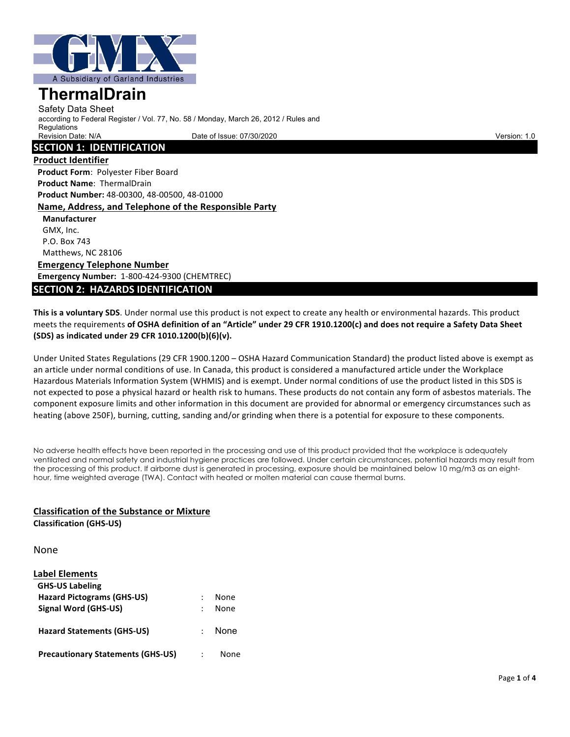

Safety Data Sheet according to Federal Register / Vol. 77, No. 58 / Monday, March 26, 2012 / Rules and **Requlations** Revision Date: N/A Charles Communication: 1.0 Date of Issue: 07/30/2020 Version: 1.0 Date of Issue: 07/30/2020

#### **SECTION 1: IDENTIFICATION**

**Product Identifier Product Form: Polyester Fiber Board Product Name: ThermalDrain Product Number:** 48-00300, 48-00500, 48-01000 Name, Address, and Telephone of the Responsible Party

**Manufacturer** GMX, Inc. P.O. Box 743 Matthews, NC 28106 **Emergency Telephone Number Emergency Number:** 1-800-424-9300 (CHEMTREC)

### **SECTION 2: HAZARDS IDENTIFICATION**

This is a voluntary SDS. Under normal use this product is not expect to create any health or environmental hazards. This product meets the requirements of OSHA definition of an "Article" under 29 CFR 1910.1200(c) and does not require a Safety Data Sheet **(SDS) as indicated under 29 CFR 1010.1200(b)(6)(v).** 

Under United States Regulations (29 CFR 1900.1200 – OSHA Hazard Communication Standard) the product listed above is exempt as an article under normal conditions of use. In Canada, this product is considered a manufactured article under the Workplace Hazardous Materials Information System (WHMIS) and is exempt. Under normal conditions of use the product listed in this SDS is not expected to pose a physical hazard or health risk to humans. These products do not contain any form of asbestos materials. The component exposure limits and other information in this document are provided for abnormal or emergency circumstances such as heating (above 250F), burning, cutting, sanding and/or grinding when there is a potential for exposure to these components.

No adverse health effects have been reported in the processing and use of this product provided that the workplace is adequately ventilated and normal safety and industrial hygiene practices are followed. Under certain circumstances, potential hazards may result from the processing of this product. If airborne dust is generated in processing, exposure should be maintained below 10 mg/m3 as an eighthour, time weighted average (TWA). Contact with heated or molten material can cause thermal burns.

#### **Classification of the Substance or Mixture**

**Classification (GHS-US)**

None

| <b>Label Elements</b>                    |               |             |
|------------------------------------------|---------------|-------------|
| <b>GHS-US Labeling</b>                   |               |             |
| <b>Hazard Pictograms (GHS-US)</b>        |               | None        |
| Signal Word (GHS-US)                     |               | None        |
| <b>Hazard Statements (GHS-US)</b>        | $\mathcal{L}$ | <b>None</b> |
| <b>Precautionary Statements (GHS-US)</b> |               | None        |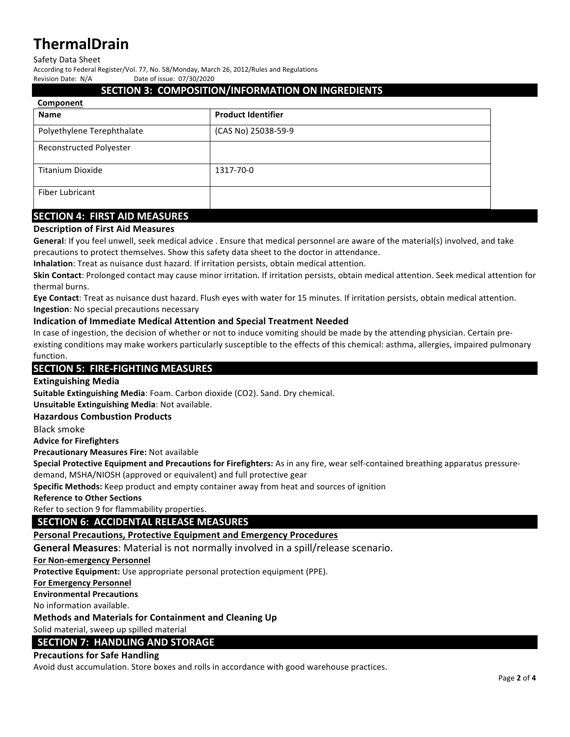#### Safety Data Sheet

According to Federal Register/Vol. 77, No. 58/Monday, March 26, 2012/Rules and Regulations

Revision Date: N/A Date of issue: 07/30/2020

#### **SECTION 3: COMPOSITION/INFORMATION ON INGREDIENTS**

| Component                       |                           |  |
|---------------------------------|---------------------------|--|
| <b>Name</b>                     | <b>Product Identifier</b> |  |
| Polyethylene Terephthalate      | (CAS No) 25038-59-9       |  |
| <b>Reconstructed Polyester</b>  |                           |  |
| <b>Titanium Dioxide</b>         | 1317-70-0                 |  |
| <b>Fiber Lubricant</b>          |                           |  |
| CECTION A. FIDET AID BAFACLIDEC |                           |  |

### **SECTION 4: FIRST AID MEASURES**

## **Description of First Aid Measures**

General: If you feel unwell, seek medical advice . Ensure that medical personnel are aware of the material(s) involved, and take precautions to protect themselves. Show this safety data sheet to the doctor in attendance.

**Inhalation**: Treat as nuisance dust hazard. If irritation persists, obtain medical attention.

**Skin Contact**: Prolonged contact may cause minor irritation. If irritation persists, obtain medical attention. Seek medical attention for thermal burns.

**Eye Contact:** Treat as nuisance dust hazard. Flush eyes with water for 15 minutes. If irritation persists, obtain medical attention. **Ingestion**: No special precautions necessary

# **Indication of Immediate Medical Attention and Special Treatment Needed**

In case of ingestion, the decision of whether or not to induce vomiting should be made by the attending physician. Certain preexisting conditions may make workers particularly susceptible to the effects of this chemical: asthma, allergies, impaired pulmonary function. 

### **SECTION 5: FIRE-FIGHTING MEASURES**

#### **Extinguishing Media**

**Suitable Extinguishing Media**: Foam. Carbon dioxide (CO2). Sand. Dry chemical.

**Unsuitable Extinguishing Media:** Not available.

#### **Hazardous Combustion Products**

Black smoke

**Advice for Firefighters** 

**Precautionary Measures Fire: Not available** 

**Special Protective Equipment and Precautions for Firefighters:** As in any fire, wear self-contained breathing apparatus pressure-

demand, MSHA/NIOSH (approved or equivalent) and full protective gear

**Specific Methods:** Keep product and empty container away from heat and sources of ignition

#### **Reference to Other Sections**

Refer to section 9 for flammability properties.

# **SECTION 6: ACCIDENTAL RELEASE MEASURES**

#### Personal Precautions, Protective Equipment and Emergency Procedures

**General Measures:** Material is not normally involved in a spill/release scenario.

#### **For Non-emergency Personnel**

**Protective Equipment:** Use appropriate personal protection equipment (PPE).

#### **For Emergency Personnel**

**Environmental Precautions** 

No information available.

#### **Methods and Materials for Containment and Cleaning Up**

Solid material, sweep up spilled material

#### **SECTION 7: HANDLING AND STORAGE**

#### **Precautions for Safe Handling**

Avoid dust accumulation. Store boxes and rolls in accordance with good warehouse practices.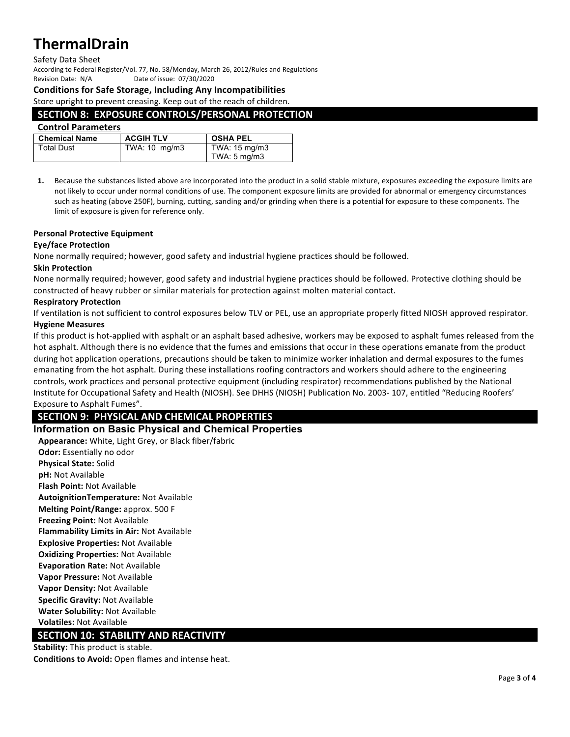#### Safety Data Sheet

According to Federal Register/Vol. 77, No. 58/Monday, March 26, 2012/Rules and Regulations Revision Date: N/A Date of issue: 07/30/2020

#### **Conditions for Safe Storage, Including Any Incompatibilities**

Store upright to prevent creasing. Keep out of the reach of children.

#### **SECTION 8: EXPOSURE CONTROLS/PERSONAL PROTECTION**

### **Control Parameters**

| <b>Chemical Name</b> | <b>ACGIH TLV</b> | <b>OSHA PEL</b>         |
|----------------------|------------------|-------------------------|
| <b>Total Dust</b>    | TWA: 10 mg/m3    | TWA: 15 mg/m3           |
|                      |                  | TWA: $5 \text{ mg/m}$ 3 |

**1.** Because the substances listed above are incorporated into the product in a solid stable mixture, exposures exceeding the exposure limits are not likely to occur under normal conditions of use. The component exposure limits are provided for abnormal or emergency circumstances such as heating (above 250F), burning, cutting, sanding and/or grinding when there is a potential for exposure to these components. The limit of exposure is given for reference only.

#### **Personal Protective Equipment**

#### **Eye/face Protection**

None normally required; however, good safety and industrial hygiene practices should be followed.

#### **Skin Protection**

None normally required; however, good safety and industrial hygiene practices should be followed. Protective clothing should be constructed of heavy rubber or similar materials for protection against molten material contact.

#### **Respiratory Protection**

If ventilation is not sufficient to control exposures below TLV or PEL, use an appropriate properly fitted NIOSH approved respirator. **Hygiene Measures** 

If this product is hot-applied with asphalt or an asphalt based adhesive, workers may be exposed to asphalt fumes released from the hot asphalt. Although there is no evidence that the fumes and emissions that occur in these operations emanate from the product during hot application operations, precautions should be taken to minimize worker inhalation and dermal exposures to the fumes emanating from the hot asphalt. During these installations roofing contractors and workers should adhere to the engineering controls, work practices and personal protective equipment (including respirator) recommendations published by the National Institute for Occupational Safety and Health (NIOSH). See DHHS (NIOSH) Publication No. 2003- 107, entitled "Reducing Roofers' Exposure to Asphalt Fumes".

# **SECTION 9: PHYSICAL AND CHEMICAL PROPERTIES**

#### **Information on Basic Physical and Chemical Properties**

Appearance: White, Light Grey, or Black fiber/fabric **Odor:** Essentially no odor **Physical State: Solid pH:** Not Available **Flash Point: Not Available AutoignitionTemperature:** Not Available **Melting Point/Range:** approx. 500 F **Freezing Point: Not Available Flammability Limits in Air: Not Available Explosive Properties: Not Available Oxidizing Properties: Not Available Evaporation Rate: Not Available Vapor Pressure: Not Available Vapor Density: Not Available Specific Gravity: Not Available Water Solubility: Not Available Volatiles:** Not Available 

# **SECTION 10: STABILITY AND REACTIVITY**

**Stability:** This product is stable. **Conditions to Avoid:** Open flames and intense heat.